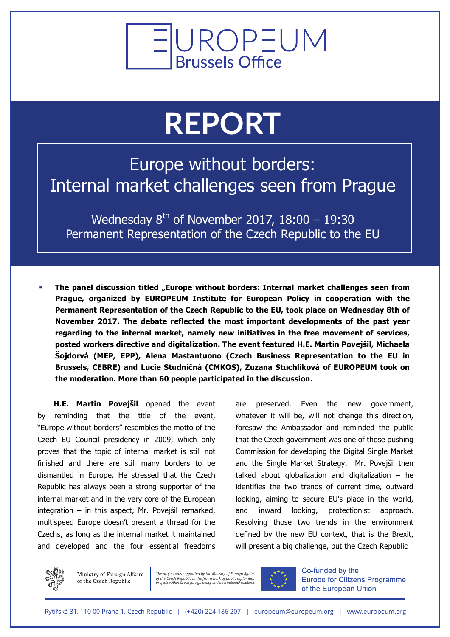

## **REPORT**

Europe without borders: Internal market challenges seen from Prague

Wednesday  $8^{th}$  of November 2017, 18:00 - 19:30 Permanent Representation of the Czech Republic to the EU

The panel discussion titled "Europe without borders: Internal market challenges seen from **Prague, organized by EUROPEUM Institute for European Policy in cooperation with the Permanent Representation of the Czech Republic to the EU, took place on Wednesday 8th of November 2017. The debate reflected the most important developments of the past year regarding to the internal market, namely new initiatives in the free movement of services, posted workers directive and digitalization. The event featured H.E. Martin Povejšil, Michaela Šojdorvá (MEP, EPP), Alena Mastantuono (Czech Business Representation to the EU in Brussels, CEBRE) and Lucie Studničná (CMKOS), Zuzana Stuchlíková of EUROPEUM took on the moderation. More than 60 people participated in the discussion.**

**H.E. Martin Povejšil** opened the event by reminding that the title of the event, "Europe without borders" resembles the motto of the Czech EU Council presidency in 2009, which only proves that the topic of internal market is still not finished and there are still many borders to be dismantled in Europe. He stressed that the Czech Republic has always been a strong supporter of the internal market and in the very core of the European integration – in this aspect, Mr. Povejšil remarked, multispeed Europe doesn't present a thread for the Czechs, as long as the internal market it maintained and developed and the four essential freedoms

are preserved. Even the new government, whatever it will be, will not change this direction, foresaw the Ambassador and reminded the public that the Czech government was one of those pushing Commission for developing the Digital Single Market and the Single Market Strategy. Mr. Povejšil then talked about globalization and digitalization  $-$  he identifies the two trends of current time, outward looking, aiming to secure EU's place in the world, and inward looking, protectionist approach. Resolving those two trends in the environment defined by the new EU context, that is the Brexit, will present a big challenge, but the Czech Republic



Ministry of Foreign Affairs of the Czech Republic

*The project was supported by the Ministry of Foreign Affairs of the Czech Republic in the framework of public diplomacy projects within Czech foreign policy and international relations*



Co-funded by the **Europe for Citizens Programme** of the European Union